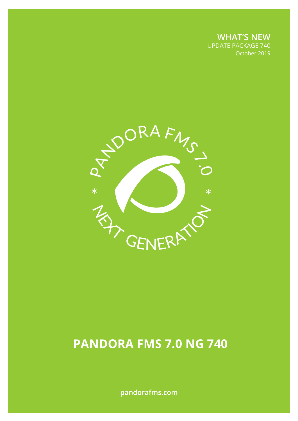**WHAT'S NEW** UPDATE PACKAGE 740 October 2019

October 2019



# **Pandora FMS 7.0 NG 740**

**pandorafms.com**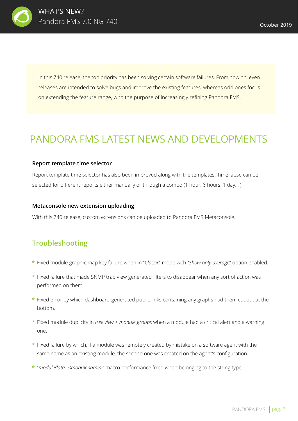

In this 740 release, the top priority has been solving certain software failures. From now on, even releases are intended to solve bugs and improve the existing features, whereas odd ones focus on extending the feature range, with the purpose of increasingly refining Pandora FMS.

## PANDORA FMS LATEST NEWS AND DEVELOPMENTS

#### **Report template time selector**

Report template time selector has also been improved along with the templates. Time lapse can be selected for different reports either manually or through a combo (1 hour, 6 hours, 1 day...).

#### **Metaconsole new extension uploading**

With this 740 release, custom extensions can be uploaded to Pandora FMS Metaconsole.

### **Troubleshooting**

- Fixed module graphic map key failure when in "*Classic*" mode with "*Show only average*" option enabled. **\***
- Fixed failure that made SNMP trap view generated filters to disappear when any sort of action was **\*** performed on them.
- Fixed error by which dashboard-generated public links containing any graphs had them cut out at the **\*** bottom.
- Fixed module duplicity in *tree view* > *module groups* when a module had a critical alert and a warning **\*** one.
- Fixed failure by which, if a module was remotely created by mistake on a software agent with the **\*** same name as an existing module, the second one was created on the agent's configuration.
- "*moduledata \_<modulename*>" macro performance fixed when belonging to the string type. **\***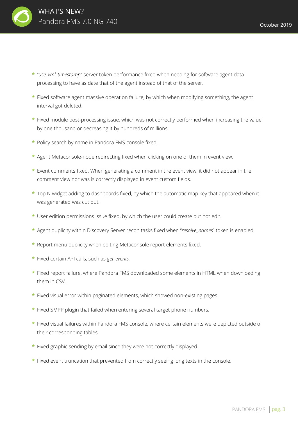

- "*use\_xml\_timestamp*" server token performance fixed when needing for software agent data **\***  processing to have as date that of the agent instead of that of the server.
- Fixed software agent massive operation failure, by which when modifying something, the agent **\*** interval got deleted.
- Fixed module post-processing issue, which was not correctly performed when increasing the value **\*** by one thousand or decreasing it by hundreds of millions.
- Policy search by name in Pandora FMS console fixed. **\***
- Agent Metaconsole-node redirecting fixed when clicking on one of them in event view. **\***
- Event comments fixed. When generating a comment in the event view, it did not appear in the **\*** comment view nor was is correctly displayed in event custom fields.
- Top N widget adding to dashboards fixed, by which the automatic map key that appeared when it **\*** was generated was cut out.
- User edition permissions issue fixed, by which the user could create but not edit. **\***
- Agent duplicity within Discovery Server recon tasks fixed when "*resolve\_names*" token is enabled. **\***
- \* Report menu duplicity when editing Metaconsole report elements fixed.
- \* Fixed certain API calls, such as *get\_events.*
- Fixed report failure, where Pandora FMS downloaded some elements in HTML when downloading **\***  them in CSV.
- \* Fixed visual error within paginated elements, which showed non-existing pages.
- \* Fixed SMPP plugin that failed when entering several target phone numbers.
- Fixed visual failures within Pandora FMS console, where certain elements were depicted outside of **\*** their corresponding tables.
- \* Fixed graphic sending by email since they were not correctly displayed.
- Fixed event truncation that prevented from correctly seeing long texts in the console. **\***